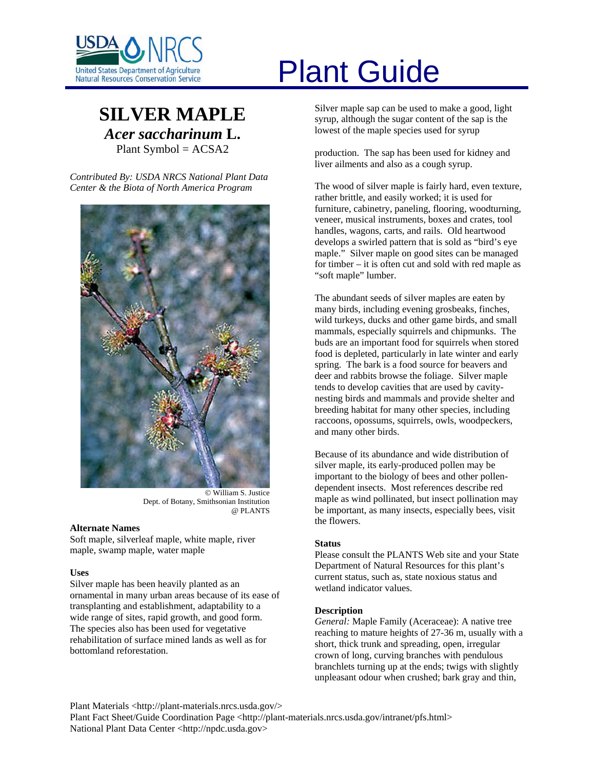

# **SILVER MAPLE** *Acer saccharinum* **L.** Plant Symbol = ACSA2

*Contributed By: USDA NRCS National Plant Data Center & the Biota of North America Program* 



© William S. Justice Dept. of Botany, Smithsonian Institution @ PLANTS

# **Alternate Names**

Soft maple, silverleaf maple, white maple, river maple, swamp maple, water maple

# **Uses**

Silver maple has been heavily planted as an ornamental in many urban areas because of its ease of transplanting and establishment, adaptability to a wide range of sites, rapid growth, and good form. The species also has been used for vegetative rehabilitation of surface mined lands as well as for bottomland reforestation.

# United States Department of Agriculture<br>Natural Resources Conservation Service

Silver maple sap can be used to make a good, light syrup, although the sugar content of the sap is the lowest of the maple species used for syrup

production. The sap has been used for kidney and liver ailments and also as a cough syrup.

The wood of silver maple is fairly hard, even texture, rather brittle, and easily worked; it is used for furniture, cabinetry, paneling, flooring, woodturning, veneer, musical instruments, boxes and crates, tool handles, wagons, carts, and rails. Old heartwood develops a swirled pattern that is sold as "bird's eye maple." Silver maple on good sites can be managed for timber – it is often cut and sold with red maple as "soft maple" lumber.

The abundant seeds of silver maples are eaten by many birds, including evening grosbeaks, finches, wild turkeys, ducks and other game birds, and small mammals, especially squirrels and chipmunks. The buds are an important food for squirrels when stored food is depleted, particularly in late winter and early spring. The bark is a food source for beavers and deer and rabbits browse the foliage. Silver maple tends to develop cavities that are used by cavitynesting birds and mammals and provide shelter and breeding habitat for many other species, including raccoons, opossums, squirrels, owls, woodpeckers, and many other birds.

Because of its abundance and wide distribution of silver maple, its early-produced pollen may be important to the biology of bees and other pollendependent insects. Most references describe red maple as wind pollinated, but insect pollination may be important, as many insects, especially bees, visit the flowers.

# **Status**

Please consult the PLANTS Web site and your State Department of Natural Resources for this plant's current status, such as, state noxious status and wetland indicator values.

# **Description**

*General:* Maple Family (Aceraceae): A native tree reaching to mature heights of 27-36 m, usually with a short, thick trunk and spreading, open, irregular crown of long, curving branches with pendulous branchlets turning up at the ends; twigs with slightly unpleasant odour when crushed; bark gray and thin,

Plant Materials <http://plant-materials.nrcs.usda.gov/>

Plant Fact Sheet/Guide Coordination Page <http://plant-materials.nrcs.usda.gov/intranet/pfs.html> National Plant Data Center <http://npdc.usda.gov>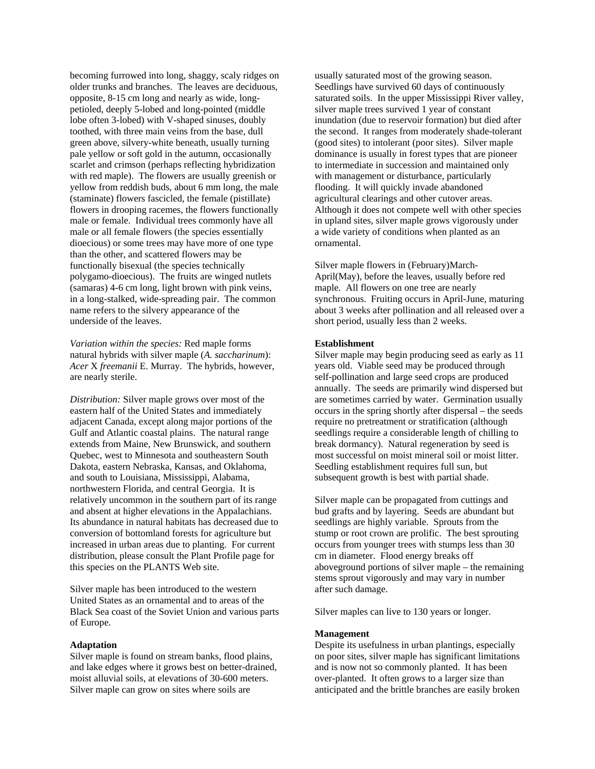becoming furrowed into long, shaggy, scaly ridges on older trunks and branches. The leaves are deciduous, opposite, 8-15 cm long and nearly as wide, longpetioled, deeply 5-lobed and long-pointed (middle lobe often 3-lobed) with V-shaped sinuses, doubly toothed, with three main veins from the base, dull green above, silvery-white beneath, usually turning pale yellow or soft gold in the autumn, occasionally scarlet and crimson (perhaps reflecting hybridization with red maple). The flowers are usually greenish or yellow from reddish buds, about 6 mm long, the male (staminate) flowers fascicled, the female (pistillate) flowers in drooping racemes, the flowers functionally male or female. Individual trees commonly have all male or all female flowers (the species essentially dioecious) or some trees may have more of one type than the other, and scattered flowers may be functionally bisexual (the species technically polygamo-dioecious). The fruits are winged nutlets (samaras) 4-6 cm long, light brown with pink veins, in a long-stalked, wide-spreading pair. The common name refers to the silvery appearance of the underside of the leaves.

*Variation within the species:* Red maple forms natural hybrids with silver maple (*A. saccharinum*): *Acer* X *freemanii* E. Murray. The hybrids, however, are nearly sterile.

*Distribution:* Silver maple grows over most of the eastern half of the United States and immediately adjacent Canada, except along major portions of the Gulf and Atlantic coastal plains. The natural range extends from Maine, New Brunswick, and southern Quebec, west to Minnesota and southeastern South Dakota, eastern Nebraska, Kansas, and Oklahoma, and south to Louisiana, Mississippi, Alabama, northwestern Florida, and central Georgia. It is relatively uncommon in the southern part of its range and absent at higher elevations in the Appalachians. Its abundance in natural habitats has decreased due to conversion of bottomland forests for agriculture but increased in urban areas due to planting. For current distribution, please consult the Plant Profile page for this species on the PLANTS Web site.

Silver maple has been introduced to the western United States as an ornamental and to areas of the Black Sea coast of the Soviet Union and various parts of Europe.

## **Adaptation**

Silver maple is found on stream banks, flood plains, and lake edges where it grows best on better-drained, moist alluvial soils, at elevations of 30-600 meters. Silver maple can grow on sites where soils are

usually saturated most of the growing season. Seedlings have survived 60 days of continuously saturated soils. In the upper Mississippi River valley, silver maple trees survived 1 year of constant inundation (due to reservoir formation) but died after the second. It ranges from moderately shade-tolerant (good sites) to intolerant (poor sites). Silver maple dominance is usually in forest types that are pioneer to intermediate in succession and maintained only with management or disturbance, particularly flooding. It will quickly invade abandoned agricultural clearings and other cutover areas. Although it does not compete well with other species in upland sites, silver maple grows vigorously under a wide variety of conditions when planted as an ornamental.

Silver maple flowers in (February)March-April(May), before the leaves, usually before red maple. All flowers on one tree are nearly synchronous. Fruiting occurs in April-June, maturing about 3 weeks after pollination and all released over a short period, usually less than 2 weeks.

#### **Establishment**

Silver maple may begin producing seed as early as 11 years old. Viable seed may be produced through self-pollination and large seed crops are produced annually. The seeds are primarily wind dispersed but are sometimes carried by water. Germination usually occurs in the spring shortly after dispersal – the seeds require no pretreatment or stratification (although seedlings require a considerable length of chilling to break dormancy). Natural regeneration by seed is most successful on moist mineral soil or moist litter. Seedling establishment requires full sun, but subsequent growth is best with partial shade.

Silver maple can be propagated from cuttings and bud grafts and by layering. Seeds are abundant but seedlings are highly variable. Sprouts from the stump or root crown are prolific. The best sprouting occurs from younger trees with stumps less than 30 cm in diameter. Flood energy breaks off aboveground portions of silver maple – the remaining stems sprout vigorously and may vary in number after such damage.

Silver maples can live to 130 years or longer.

## **Management**

Despite its usefulness in urban plantings, especially on poor sites, silver maple has significant limitations and is now not so commonly planted. It has been over-planted. It often grows to a larger size than anticipated and the brittle branches are easily broken